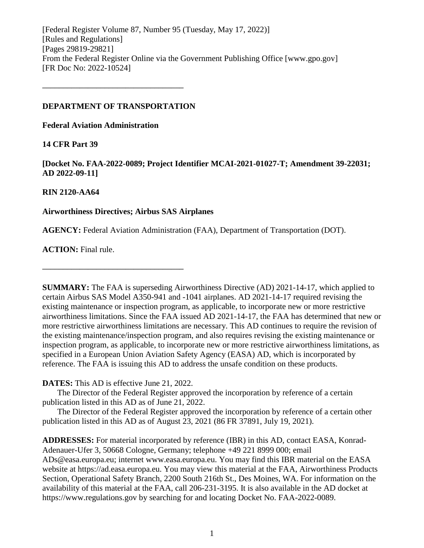[Federal Register Volume 87, Number 95 (Tuesday, May 17, 2022)] [Rules and Regulations] [Pages 29819-29821] From the Federal Register Online via the Government Publishing Office [www.gpo.gov] [FR Doc No: 2022-10524]

#### **DEPARTMENT OF TRANSPORTATION**

**––––––––––––––––––––––––––––––––––**

**Federal Aviation Administration**

## **14 CFR Part 39**

**[Docket No. FAA-2022-0089; Project Identifier MCAI-2021-01027-T; Amendment 39-22031; AD 2022-09-11]**

## **RIN 2120-AA64**

## **Airworthiness Directives; Airbus SAS Airplanes**

**––––––––––––––––––––––––––––––––––**

**AGENCY:** Federal Aviation Administration (FAA), Department of Transportation (DOT).

**ACTION:** Final rule.

**SUMMARY:** The FAA is superseding Airworthiness Directive (AD) 2021-14-17, which applied to certain Airbus SAS Model A350-941 and -1041 airplanes. AD 2021-14-17 required revising the existing maintenance or inspection program, as applicable, to incorporate new or more restrictive airworthiness limitations. Since the FAA issued AD 2021-14-17, the FAA has determined that new or more restrictive airworthiness limitations are necessary. This AD continues to require the revision of the existing maintenance/inspection program, and also requires revising the existing maintenance or inspection program, as applicable, to incorporate new or more restrictive airworthiness limitations, as specified in a European Union Aviation Safety Agency (EASA) AD, which is incorporated by reference. The FAA is issuing this AD to address the unsafe condition on these products.

**DATES:** This AD is effective June 21, 2022.

The Director of the Federal Register approved the incorporation by reference of a certain publication listed in this AD as of June 21, 2022.

The Director of the Federal Register approved the incorporation by reference of a certain other publication listed in this AD as of August 23, 2021 (86 FR 37891, July 19, 2021).

**ADDRESSES:** For material incorporated by reference (IBR) in this AD, contact EASA, Konrad-Adenauer-Ufer 3, 50668 Cologne, Germany; telephone +49 221 8999 000; email ADs@easa.europa.eu; internet www.easa.europa.eu. You may find this IBR material on the EASA website at https://ad.easa.europa.eu. You may view this material at the FAA, Airworthiness Products Section, Operational Safety Branch, 2200 South 216th St., Des Moines, WA. For information on the availability of this material at the FAA, call 206-231-3195. It is also available in the AD docket at https://www.regulations.gov by searching for and locating Docket No. FAA-2022-0089.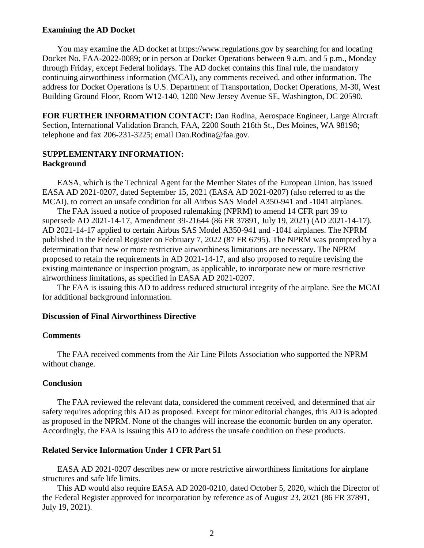#### **Examining the AD Docket**

You may examine the AD docket at https://www.regulations.gov by searching for and locating Docket No. FAA-2022-0089; or in person at Docket Operations between 9 a.m. and 5 p.m., Monday through Friday, except Federal holidays. The AD docket contains this final rule, the mandatory continuing airworthiness information (MCAI), any comments received, and other information. The address for Docket Operations is U.S. Department of Transportation, Docket Operations, M-30, West Building Ground Floor, Room W12-140, 1200 New Jersey Avenue SE, Washington, DC 20590.

**FOR FURTHER INFORMATION CONTACT:** Dan Rodina, Aerospace Engineer, Large Aircraft Section, International Validation Branch, FAA, 2200 South 216th St., Des Moines, WA 98198; telephone and fax 206-231-3225; email Dan.Rodina@faa.gov.

## **SUPPLEMENTARY INFORMATION: Background**

EASA, which is the Technical Agent for the Member States of the European Union, has issued EASA AD 2021-0207, dated September 15, 2021 (EASA AD 2021-0207) (also referred to as the MCAI), to correct an unsafe condition for all Airbus SAS Model A350-941 and -1041 airplanes.

The FAA issued a notice of proposed rulemaking (NPRM) to amend 14 CFR part 39 to supersede AD 2021-14-17, Amendment 39-21644 (86 FR 37891, July 19, 2021) (AD 2021-14-17). AD 2021-14-17 applied to certain Airbus SAS Model A350-941 and -1041 airplanes. The NPRM published in the Federal Register on February 7, 2022 (87 FR 6795). The NPRM was prompted by a determination that new or more restrictive airworthiness limitations are necessary. The NPRM proposed to retain the requirements in AD 2021-14-17, and also proposed to require revising the existing maintenance or inspection program, as applicable, to incorporate new or more restrictive airworthiness limitations, as specified in EASA AD 2021-0207.

The FAA is issuing this AD to address reduced structural integrity of the airplane. See the MCAI for additional background information.

## **Discussion of Final Airworthiness Directive**

#### **Comments**

The FAA received comments from the Air Line Pilots Association who supported the NPRM without change.

#### **Conclusion**

The FAA reviewed the relevant data, considered the comment received, and determined that air safety requires adopting this AD as proposed. Except for minor editorial changes, this AD is adopted as proposed in the NPRM. None of the changes will increase the economic burden on any operator. Accordingly, the FAA is issuing this AD to address the unsafe condition on these products.

#### **Related Service Information Under 1 CFR Part 51**

EASA AD 2021-0207 describes new or more restrictive airworthiness limitations for airplane structures and safe life limits.

This AD would also require EASA AD 2020-0210, dated October 5, 2020, which the Director of the Federal Register approved for incorporation by reference as of August 23, 2021 (86 FR 37891, July 19, 2021).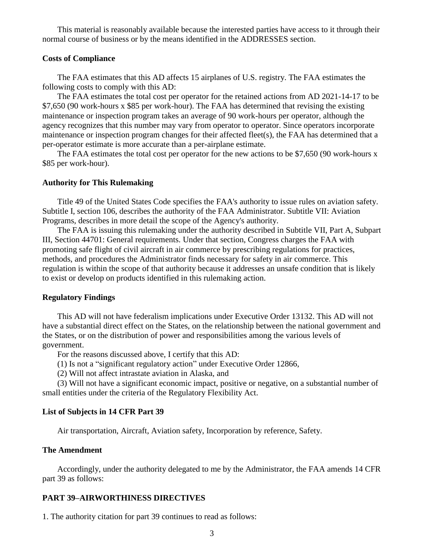This material is reasonably available because the interested parties have access to it through their normal course of business or by the means identified in the ADDRESSES section.

#### **Costs of Compliance**

The FAA estimates that this AD affects 15 airplanes of U.S. registry. The FAA estimates the following costs to comply with this AD:

The FAA estimates the total cost per operator for the retained actions from AD 2021-14-17 to be \$7,650 (90 work-hours x \$85 per work-hour). The FAA has determined that revising the existing maintenance or inspection program takes an average of 90 work-hours per operator, although the agency recognizes that this number may vary from operator to operator. Since operators incorporate maintenance or inspection program changes for their affected fleet(s), the FAA has determined that a per-operator estimate is more accurate than a per-airplane estimate.

The FAA estimates the total cost per operator for the new actions to be \$7,650 (90 work-hours x \$85 per work-hour).

#### **Authority for This Rulemaking**

Title 49 of the United States Code specifies the FAA's authority to issue rules on aviation safety. Subtitle I, section 106, describes the authority of the FAA Administrator. Subtitle VII: Aviation Programs, describes in more detail the scope of the Agency's authority.

The FAA is issuing this rulemaking under the authority described in Subtitle VII, Part A, Subpart III, Section 44701: General requirements. Under that section, Congress charges the FAA with promoting safe flight of civil aircraft in air commerce by prescribing regulations for practices, methods, and procedures the Administrator finds necessary for safety in air commerce. This regulation is within the scope of that authority because it addresses an unsafe condition that is likely to exist or develop on products identified in this rulemaking action.

#### **Regulatory Findings**

This AD will not have federalism implications under Executive Order 13132. This AD will not have a substantial direct effect on the States, on the relationship between the national government and the States, or on the distribution of power and responsibilities among the various levels of government.

For the reasons discussed above, I certify that this AD:

- (1) Is not a "significant regulatory action" under Executive Order 12866,
- (2) Will not affect intrastate aviation in Alaska, and

(3) Will not have a significant economic impact, positive or negative, on a substantial number of small entities under the criteria of the Regulatory Flexibility Act.

#### **List of Subjects in 14 CFR Part 39**

Air transportation, Aircraft, Aviation safety, Incorporation by reference, Safety.

#### **The Amendment**

Accordingly, under the authority delegated to me by the Administrator, the FAA amends 14 CFR part 39 as follows:

#### **PART 39–AIRWORTHINESS DIRECTIVES**

1. The authority citation for part 39 continues to read as follows: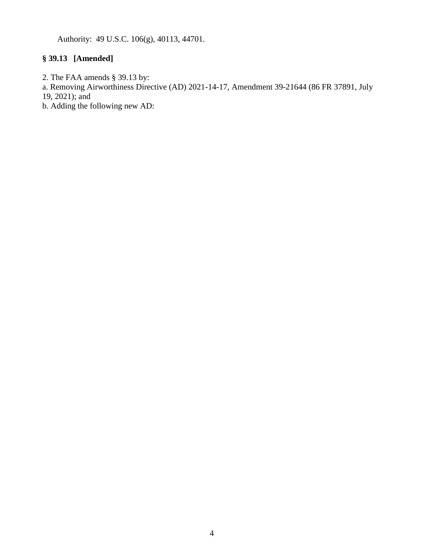Authority: 49 U.S.C. 106(g), 40113, 44701.

## **§ 39.13 [Amended]**

- 2. The FAA amends § 39.13 by:
- a. Removing Airworthiness Directive (AD) 2021-14-17, Amendment 39-21644 (86 FR 37891, July
- 19, 2021); and
- b. Adding the following new AD: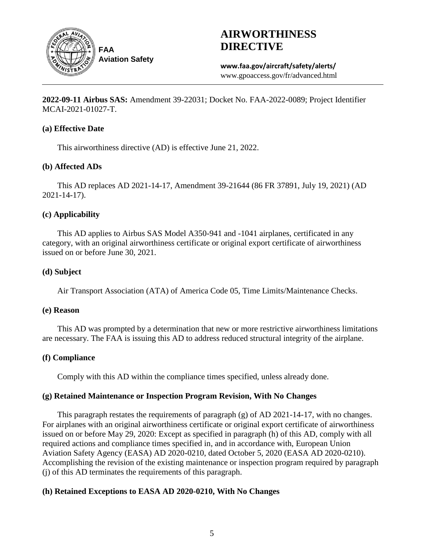

# **AIRWORTHINESS DIRECTIVE**

**www.faa.gov/aircraft/safety/alerts/** www.gpoaccess.gov/fr/advanced.html

**2022-09-11 Airbus SAS:** Amendment 39-22031; Docket No. FAA-2022-0089; Project Identifier MCAI-2021-01027-T.

## **(a) Effective Date**

This airworthiness directive (AD) is effective June 21, 2022.

## **(b) Affected ADs**

This AD replaces AD 2021-14-17, Amendment 39-21644 (86 FR 37891, July 19, 2021) (AD 2021-14-17).

## **(c) Applicability**

This AD applies to Airbus SAS Model A350-941 and -1041 airplanes, certificated in any category, with an original airworthiness certificate or original export certificate of airworthiness issued on or before June 30, 2021.

## **(d) Subject**

Air Transport Association (ATA) of America Code 05, Time Limits/Maintenance Checks.

## **(e) Reason**

This AD was prompted by a determination that new or more restrictive airworthiness limitations are necessary. The FAA is issuing this AD to address reduced structural integrity of the airplane.

## **(f) Compliance**

Comply with this AD within the compliance times specified, unless already done.

## **(g) Retained Maintenance or Inspection Program Revision, With No Changes**

This paragraph restates the requirements of paragraph (g) of AD 2021-14-17, with no changes. For airplanes with an original airworthiness certificate or original export certificate of airworthiness issued on or before May 29, 2020: Except as specified in paragraph (h) of this AD, comply with all required actions and compliance times specified in, and in accordance with, European Union Aviation Safety Agency (EASA) AD 2020-0210, dated October 5, 2020 (EASA AD 2020-0210). Accomplishing the revision of the existing maintenance or inspection program required by paragraph (j) of this AD terminates the requirements of this paragraph.

## **(h) Retained Exceptions to EASA AD 2020-0210, With No Changes**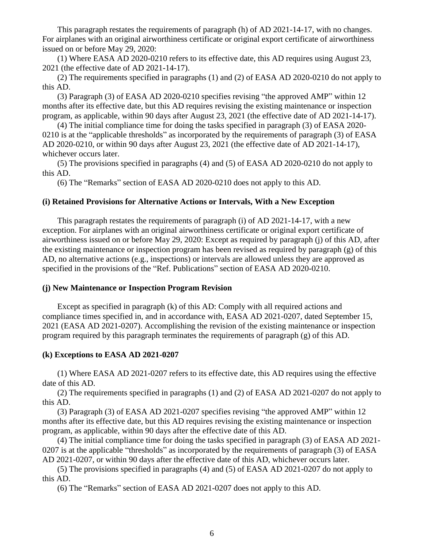This paragraph restates the requirements of paragraph (h) of AD 2021-14-17, with no changes. For airplanes with an original airworthiness certificate or original export certificate of airworthiness issued on or before May 29, 2020:

(1) Where EASA AD 2020-0210 refers to its effective date, this AD requires using August 23, 2021 (the effective date of AD 2021-14-17).

(2) The requirements specified in paragraphs (1) and (2) of EASA AD 2020-0210 do not apply to this AD.

(3) Paragraph (3) of EASA AD 2020-0210 specifies revising "the approved AMP" within 12 months after its effective date, but this AD requires revising the existing maintenance or inspection program, as applicable, within 90 days after August 23, 2021 (the effective date of AD 2021-14-17).

(4) The initial compliance time for doing the tasks specified in paragraph (3) of EASA 2020- 0210 is at the "applicable thresholds" as incorporated by the requirements of paragraph (3) of EASA AD 2020-0210, or within 90 days after August 23, 2021 (the effective date of AD 2021-14-17), whichever occurs later.

(5) The provisions specified in paragraphs (4) and (5) of EASA AD 2020-0210 do not apply to this AD.

(6) The "Remarks" section of EASA AD 2020-0210 does not apply to this AD.

## **(i) Retained Provisions for Alternative Actions or Intervals, With a New Exception**

This paragraph restates the requirements of paragraph (i) of AD 2021-14-17, with a new exception. For airplanes with an original airworthiness certificate or original export certificate of airworthiness issued on or before May 29, 2020: Except as required by paragraph (j) of this AD, after the existing maintenance or inspection program has been revised as required by paragraph (g) of this AD, no alternative actions (e.g., inspections) or intervals are allowed unless they are approved as specified in the provisions of the "Ref. Publications" section of EASA AD 2020-0210.

## **(j) New Maintenance or Inspection Program Revision**

Except as specified in paragraph (k) of this AD: Comply with all required actions and compliance times specified in, and in accordance with, EASA AD 2021-0207, dated September 15, 2021 (EASA AD 2021-0207). Accomplishing the revision of the existing maintenance or inspection program required by this paragraph terminates the requirements of paragraph  $(g)$  of this AD.

## **(k) Exceptions to EASA AD 2021-0207**

(1) Where EASA AD 2021-0207 refers to its effective date, this AD requires using the effective date of this AD.

(2) The requirements specified in paragraphs (1) and (2) of EASA AD 2021-0207 do not apply to this AD.

(3) Paragraph (3) of EASA AD 2021-0207 specifies revising "the approved AMP" within 12 months after its effective date, but this AD requires revising the existing maintenance or inspection program, as applicable, within 90 days after the effective date of this AD.

(4) The initial compliance time for doing the tasks specified in paragraph (3) of EASA AD 2021- 0207 is at the applicable "thresholds" as incorporated by the requirements of paragraph (3) of EASA AD 2021-0207, or within 90 days after the effective date of this AD, whichever occurs later.

(5) The provisions specified in paragraphs (4) and (5) of EASA AD 2021-0207 do not apply to this AD.

(6) The "Remarks" section of EASA AD 2021-0207 does not apply to this AD.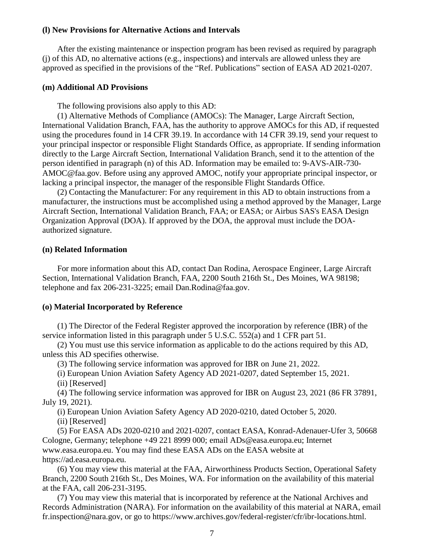#### **(l) New Provisions for Alternative Actions and Intervals**

After the existing maintenance or inspection program has been revised as required by paragraph (j) of this AD, no alternative actions (e.g., inspections) and intervals are allowed unless they are approved as specified in the provisions of the "Ref. Publications" section of EASA AD 2021-0207.

#### **(m) Additional AD Provisions**

The following provisions also apply to this AD:

(1) Alternative Methods of Compliance (AMOCs): The Manager, Large Aircraft Section, International Validation Branch, FAA, has the authority to approve AMOCs for this AD, if requested using the procedures found in 14 CFR 39.19. In accordance with 14 CFR 39.19, send your request to your principal inspector or responsible Flight Standards Office, as appropriate. If sending information directly to the Large Aircraft Section, International Validation Branch, send it to the attention of the person identified in paragraph (n) of this AD. Information may be emailed to: 9-AVS-AIR-730- AMOC@faa.gov. Before using any approved AMOC, notify your appropriate principal inspector, or lacking a principal inspector, the manager of the responsible Flight Standards Office.

(2) Contacting the Manufacturer: For any requirement in this AD to obtain instructions from a manufacturer, the instructions must be accomplished using a method approved by the Manager, Large Aircraft Section, International Validation Branch, FAA; or EASA; or Airbus SAS's EASA Design Organization Approval (DOA). If approved by the DOA, the approval must include the DOAauthorized signature.

#### **(n) Related Information**

For more information about this AD, contact Dan Rodina, Aerospace Engineer, Large Aircraft Section, International Validation Branch, FAA, 2200 South 216th St., Des Moines, WA 98198; telephone and fax 206-231-3225; email Dan.Rodina@faa.gov.

#### **(o) Material Incorporated by Reference**

(1) The Director of the Federal Register approved the incorporation by reference (IBR) of the service information listed in this paragraph under 5 U.S.C. 552(a) and 1 CFR part 51.

(2) You must use this service information as applicable to do the actions required by this AD, unless this AD specifies otherwise.

(3) The following service information was approved for IBR on June 21, 2022.

(i) European Union Aviation Safety Agency AD 2021-0207, dated September 15, 2021.

(ii) [Reserved]

(4) The following service information was approved for IBR on August 23, 2021 (86 FR 37891, July 19, 2021).

(i) European Union Aviation Safety Agency AD 2020-0210, dated October 5, 2020.

(ii) [Reserved]

(5) For EASA ADs 2020-0210 and 2021-0207, contact EASA, Konrad-Adenauer-Ufer 3, 50668 Cologne, Germany; telephone +49 221 8999 000; email ADs@easa.europa.eu; Internet www.easa.europa.eu. You may find these EASA ADs on the EASA website at https://ad.easa.europa.eu.

(6) You may view this material at the FAA, Airworthiness Products Section, Operational Safety Branch, 2200 South 216th St., Des Moines, WA. For information on the availability of this material at the FAA, call 206-231-3195.

(7) You may view this material that is incorporated by reference at the National Archives and Records Administration (NARA). For information on the availability of this material at NARA, email fr.inspection@nara.gov, or go to https://www.archives.gov/federal-register/cfr/ibr-locations.html.